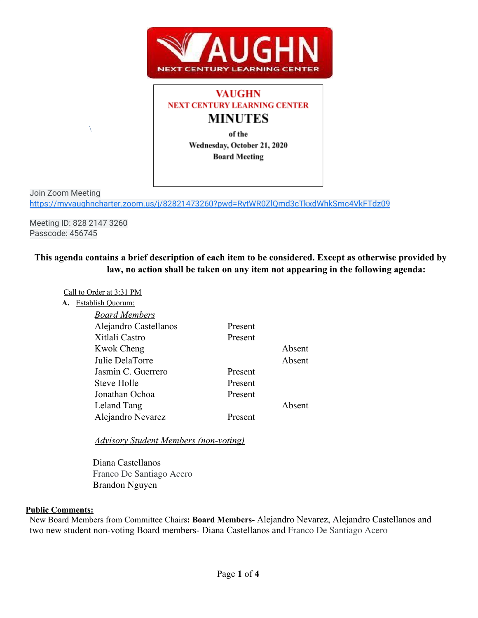

# **VAUGHN NEXT CENTURY LEARNING CENTER MINUTES**

of the Wednesday, October 21, 2020 **Board Meeting** 

Join Zoom Meeting <https://myvaughncharter.zoom.us/j/82821473260?pwd=RytWR0ZlQmd3cTkxdWhkSmc4VkFTdz09>

Meeting ID: 828 2147 3260 Passcode: 456745

 $\lambda$ 

## **This agenda contains a brief description of each item to be considered. Except as otherwise provided by law, no action shall be taken on any item not appearing in the following agenda:**

Call to Order at 3:31 PM

| A. | Establish Quorum:     |         |        |
|----|-----------------------|---------|--------|
|    | <b>Board Members</b>  |         |        |
|    | Alejandro Castellanos | Present |        |
|    | Xitlali Castro        | Present |        |
|    | Kwok Cheng            |         | Absent |
|    | Julie DelaTorre       |         | Absent |
|    | Jasmin C. Guerrero    | Present |        |
|    | Steve Holle           | Present |        |
|    | Jonathan Ochoa        | Present |        |
|    | Leland Tang           |         | Absent |
|    | Alejandro Nevarez     | Present |        |
|    |                       |         |        |

*Advisory Student Members (non-voting)*

Diana Castellanos Franco De Santiago Acero Brandon Nguyen

#### **Public Comments:**

New Board Members from Committee Chairs**: Board Members-** Alejandro Nevarez, Alejandro Castellanos and two new student non-voting Board members- Diana Castellanos and Franco De Santiago Acero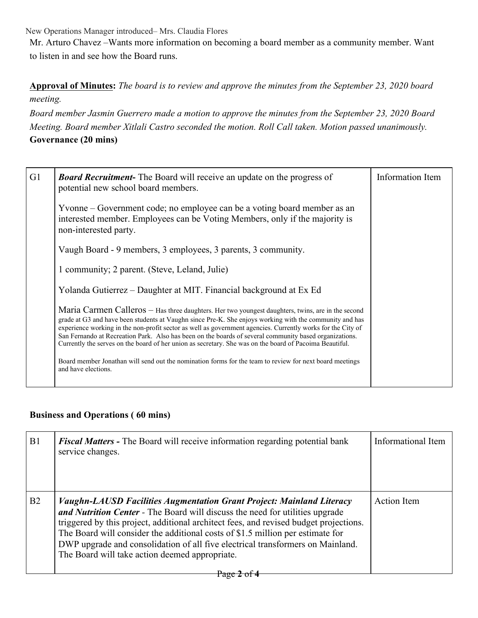New Operations Manager introduced– Mrs. Claudia Flores

Mr. Arturo Chavez –Wants more information on becoming a board member as a community member. Want to listen in and see how the Board runs.

## **Approval of Minutes:** *The board is to review and approve the minutes from the September 23, 2020 board*

## *meeting.*

*Board member Jasmin Guerrero made a motion to approve the minutes from the September 23, 2020 Board Meeting. Board member Xitlali Castro seconded the motion. Roll Call taken. Motion passed unanimously.* **Governance (20 mins)**

| G <sub>1</sub> | <b>Board Recruitment-</b> The Board will receive an update on the progress of<br>potential new school board members.                                                                                                                                                                                                                                                                                                                                                                                                                             | Information Item |
|----------------|--------------------------------------------------------------------------------------------------------------------------------------------------------------------------------------------------------------------------------------------------------------------------------------------------------------------------------------------------------------------------------------------------------------------------------------------------------------------------------------------------------------------------------------------------|------------------|
|                | Yvonne – Government code; no employee can be a voting board member as an<br>interested member. Employees can be Voting Members, only if the majority is<br>non-interested party.                                                                                                                                                                                                                                                                                                                                                                 |                  |
|                | Vaugh Board - 9 members, 3 employees, 3 parents, 3 community.                                                                                                                                                                                                                                                                                                                                                                                                                                                                                    |                  |
|                | 1 community; 2 parent. (Steve, Leland, Julie)                                                                                                                                                                                                                                                                                                                                                                                                                                                                                                    |                  |
|                | Yolanda Gutierrez – Daughter at MIT. Financial background at Ex Ed                                                                                                                                                                                                                                                                                                                                                                                                                                                                               |                  |
|                | Maria Carmen Calleros - Has three daughters. Her two youngest daughters, twins, are in the second<br>grade at G3 and have been students at Vaughn since Pre-K. She enjoys working with the community and has<br>experience working in the non-profit sector as well as government agencies. Currently works for the City of<br>San Fernando at Recreation Park. Also has been on the boards of several community based organizations.<br>Currently the serves on the board of her union as secretary. She was on the board of Pacoima Beautiful. |                  |
|                | Board member Jonathan will send out the nomination forms for the team to review for next board meetings<br>and have elections.                                                                                                                                                                                                                                                                                                                                                                                                                   |                  |

### **Business and Operations ( 60 mins)**

| B1             | <b>Fiscal Matters -</b> The Board will receive information regarding potential bank<br>service changes.                                                                                                                                                                                                                                                                                                                                                                     | Informational Item |
|----------------|-----------------------------------------------------------------------------------------------------------------------------------------------------------------------------------------------------------------------------------------------------------------------------------------------------------------------------------------------------------------------------------------------------------------------------------------------------------------------------|--------------------|
| B <sub>2</sub> | <b>Vaughn-LAUSD Facilities Augmentation Grant Project: Mainland Literacy</b><br>and Nutrition Center - The Board will discuss the need for utilities upgrade<br>triggered by this project, additional architect fees, and revised budget projections.<br>The Board will consider the additional costs of \$1.5 million per estimate for<br>DWP upgrade and consolidation of all five electrical transformers on Mainland.<br>The Board will take action deemed appropriate. | <b>Action</b> Item |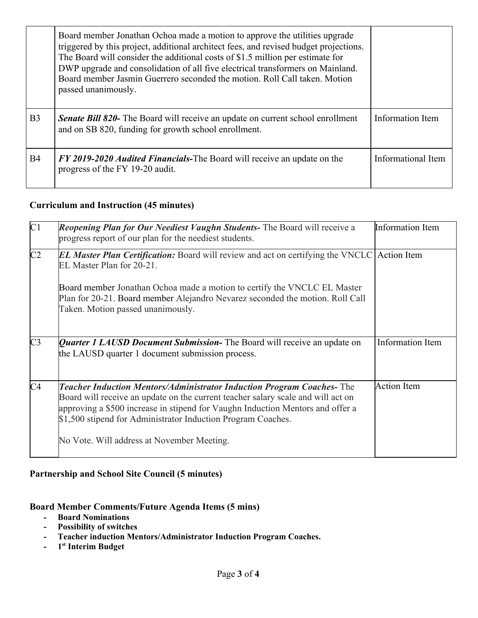|                | Board member Jonathan Ochoa made a motion to approve the utilities upgrade<br>triggered by this project, additional architect fees, and revised budget projections.<br>The Board will consider the additional costs of \$1.5 million per estimate for<br>DWP upgrade and consolidation of all five electrical transformers on Mainland.<br>Board member Jasmin Guerrero seconded the motion. Roll Call taken. Motion<br>passed unanimously. |                    |
|----------------|---------------------------------------------------------------------------------------------------------------------------------------------------------------------------------------------------------------------------------------------------------------------------------------------------------------------------------------------------------------------------------------------------------------------------------------------|--------------------|
| B <sub>3</sub> | <b>Senate Bill 820-</b> The Board will receive an update on current school enrollment<br>and on SB 820, funding for growth school enrollment.                                                                                                                                                                                                                                                                                               | Information Item   |
| <b>B4</b>      | FY 2019-2020 Audited Financials-The Board will receive an update on the<br>progress of the FY 19-20 audit.                                                                                                                                                                                                                                                                                                                                  | Informational Item |

### **Curriculum and Instruction (45 minutes)**

| C1             | <b>Reopening Plan for Our Neediest Vaughn Students-</b> The Board will receive a<br>progress report of our plan for the neediest students.                                                                                                                                                                         | <b>Information Item</b> |
|----------------|--------------------------------------------------------------------------------------------------------------------------------------------------------------------------------------------------------------------------------------------------------------------------------------------------------------------|-------------------------|
| C2             | <b>EL Master Plan Certification:</b> Board will review and act on certifying the VNCLC Action Item<br>EL Master Plan for 20-21.                                                                                                                                                                                    |                         |
|                | Board member Jonathan Ochoa made a motion to certify the VNCLC EL Master<br>Plan for 20-21. Board member Alejandro Nevarez seconded the motion. Roll Call<br>Taken. Motion passed unanimously.                                                                                                                     |                         |
| C <sub>3</sub> | Quarter 1 LAUSD Document Submission- The Board will receive an update on<br>the LAUSD quarter 1 document submission process.                                                                                                                                                                                       | Information Item        |
| C <sub>4</sub> | <b>Teacher Induction Mentors/Administrator Induction Program Coaches-The</b><br>Board will receive an update on the current teacher salary scale and will act on<br>approving a \$500 increase in stipend for Vaughn Induction Mentors and offer a<br>\$1,500 stipend for Administrator Induction Program Coaches. | <b>Action Item</b>      |
|                | No Vote. Will address at November Meeting.                                                                                                                                                                                                                                                                         |                         |

## **Partnership and School Site Council (5 minutes)**

### **Board Member Comments/Future Agenda Items (5 mins)**

- **- Board Nominations**
- **- Possibility of switches**
- **- Teacher induction Mentors/Administrator Induction Program Coaches.**
- **- 1 st Interim Budget**